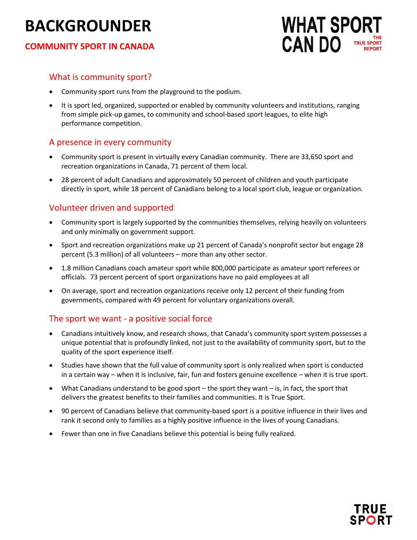# **BACKGROUNDER**

#### **COMMUNITY SPORT IN CANADA**



#### What is community sport?

- Community sport runs from the playground to the podium.
- It is sport led, organized, supported or enabled by community volunteers and institutions, ranging from simple pick-up games, to community and school-based sport leagues, to elite high performance competition.

### A presence in every community

- Community sport is present in virtually every Canadian community. There are 33,650 sport and recreation organizations in Canada, 71 percent of them local.
- 28 percent of adult Canadians and approximately 50 percent of children and youth participate directly in sport, while 18 percent of Canadians belong to a local sport club, league or organization.

## Volunteer driven and supported

- Community sport is largely supported by the communities themselves, relying heavily on volunteers and only minimally on government support.
- Sport and recreation organizations make up 21 percent of Canada's nonprofit sector but engage 28 percent (5.3 million) of all volunteers – more than any other sector.
- 1.8 million Canadians coach amateur sport while 800,000 participate as amateur sport referees or officials. 73 percent percent of sport organizations have no paid employees at all
- On average, sport and recreation organizations receive only 12 percent of their funding from governments, compared with 49 percent for voluntary organizations overall.

#### The sport we want - a positive social force

- Canadians intuitively know, and research shows, that Canada's community sport system possesses a unique potential that is profoundly linked, not just to the availability of community sport, but to the quality of the sport experience itself.
- Studies have shown that the full value of community sport is only realized when sport is conducted in a certain way – when it is inclusive, fair, fun and fosters genuine excellence – when it is true sport.
- What Canadians understand to be good sport the sport they want is, in fact, the sport that delivers the greatest benefits to their families and communities. It is True Sport.
- 90 percent of Canadians believe that community-based sport is a positive influence in their lives and rank it second only to families as a highly positive influence in the lives of young Canadians.
- Fewer than one in five Canadians believe this potential is being fully realized.